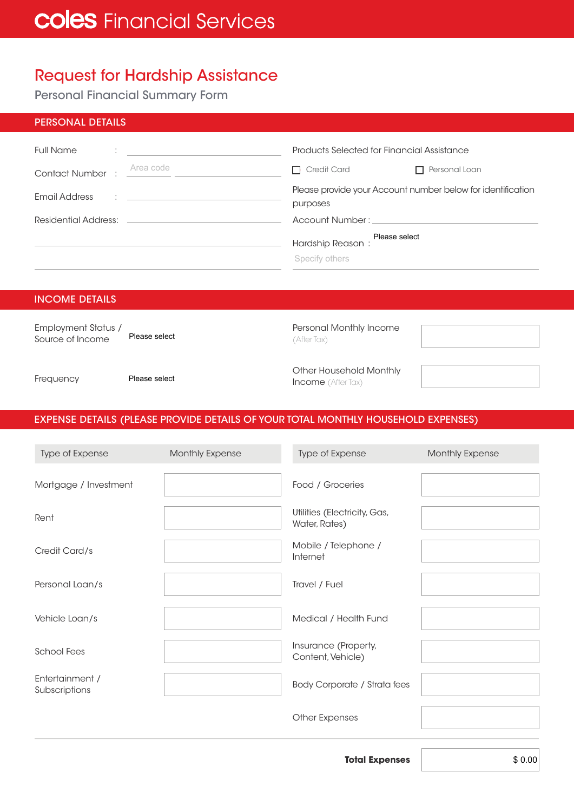## Request for Hardship Assistance

Personal Financial Summary Form

| <b>PERSONAL DETAILS</b>                        |                                                                                                                                                                                                                                                                        |
|------------------------------------------------|------------------------------------------------------------------------------------------------------------------------------------------------------------------------------------------------------------------------------------------------------------------------|
| <b>Full Name</b><br><b>The Community</b>       | Products Selected for Financial Assistance                                                                                                                                                                                                                             |
| Area code<br><b>Contact Number :</b>           | $\Box$ Credit Card<br>Personal Loan<br>$\mathsf{L}$                                                                                                                                                                                                                    |
| Email Address<br>the company of the company of | Please provide your Account number below for identification<br>purposes                                                                                                                                                                                                |
| Residential Address:                           | Account Number: National Account Number : National Account Number : National Account of the Account of the Account of the Account of the Account of the Account of the Account of the Account of the Account of the Account of                                         |
|                                                | Please select<br>Hardship Reason : <u>Case server</u> Management of the March Street and Tennis and Tennis and Tennis and Tennis and Tennis and Tennis and Tennis and Tennis and Tennis and Tennis and Tennis and Tennis and Tennis and Tennis and T<br>Specify others |

#### INCOME DETAILS

| Employment Status /<br>Source of Income | Please select | Personal Monthly Income<br>(After Tax)               |  |
|-----------------------------------------|---------------|------------------------------------------------------|--|
| Frequency                               | Please select | Other Household Monthly<br><b>Income</b> (After Tax) |  |

### EXPENSE DETAILS (PLEASE PROVIDE DETAILS OF YOUR TOTAL MONTHLY HOUSEHOLD EXPENSES)

| Type of Expense                  | Monthly Expense | Type of Expense                               | Monthly Expense |
|----------------------------------|-----------------|-----------------------------------------------|-----------------|
| Mortgage / Investment            |                 | Food / Groceries                              |                 |
| Rent                             |                 | Utilities (Electricity, Gas,<br>Water, Rates) |                 |
| Credit Card/s                    |                 | Mobile / Telephone /<br>Internet              |                 |
| Personal Loan/s                  |                 | Travel / Fuel                                 |                 |
| Vehicle Loan/s                   |                 | Medical / Health Fund                         |                 |
| <b>School Fees</b>               |                 | Insurance (Property,<br>Content, Vehicle)     |                 |
| Entertainment /<br>Subscriptions |                 | <b>Body Corporate / Strata fees</b>           |                 |
|                                  |                 | <b>Other Expenses</b>                         |                 |